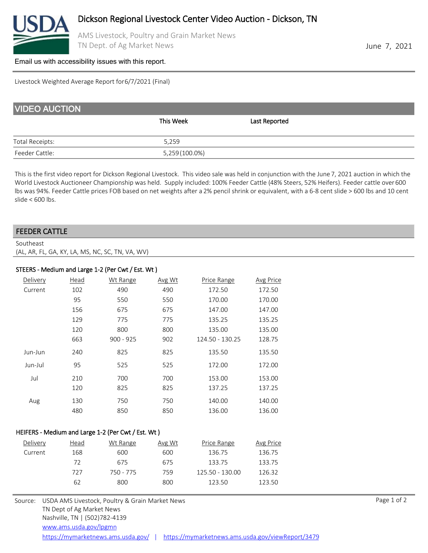

AMS Livestock, Poultry and Grain Market News TN Dept. of Ag Market News **June 7, 2021** 

#### [Email us with accessibility issues with this report.](mailto:mars@ams.usda.gov?subjectNot%20able%20to%20access%20video%20auction%20report)

Livestock Weighted Average Report for 6/7/2021 (Final)

| <b>VIDEO AUCTION</b>   |                |               |  |
|------------------------|----------------|---------------|--|
|                        | This Week      | Last Reported |  |
| <b>Total Receipts:</b> | 5,259          |               |  |
| Feeder Cattle:         | 5,259 (100.0%) |               |  |

This is the first video report for Dickson Regional Livestock. This video sale was held in conjunction with the June 7, 2021 auction in which the World Livestock Auctioneer Championship was held. Supply included: 100% Feeder Cattle (48% Steers, 52% Heifers). Feeder cattle over 600 lbs was 94%. Feeder Cattle prices FOB based on net weights after a 2% pencil shrink or equivalent, with a 6-8 cent slide > 600 lbs and 10 cent slide < 600 lbs.

## FEEDER CATTLE

Southeast (AL, AR, FL, GA, KY, LA, MS, NC, SC, TN, VA, WV)

## STEERS - Medium and Large 1-2 (Per Cwt / Est. Wt )

| Delivery | Head | Wt Range    | Avg Wt | Price Range     | Avg Price |
|----------|------|-------------|--------|-----------------|-----------|
| Current  | 102  | 490         | 490    | 172.50          | 172.50    |
|          | 95   | 550         | 550    | 170.00          | 170.00    |
|          | 156  | 675         | 675    | 147.00          | 147.00    |
|          | 129  | 775         | 775    | 135.25          | 135.25    |
|          | 120  | 800         | 800    | 135.00          | 135.00    |
|          | 663  | $900 - 925$ | 902    | 124.50 - 130.25 | 128.75    |
| Jun-Jun  | 240  | 825         | 825    | 135.50          | 135.50    |
| Jun-Jul  | 95   | 525         | 525    | 172.00          | 172.00    |
| Jul      | 210  | 700         | 700    | 153.00          | 153.00    |
|          | 120  | 825         | 825    | 137.25          | 137.25    |
| Aug      | 130  | 750         | 750    | 140.00          | 140.00    |
|          | 480  | 850         | 850    | 136.00          | 136.00    |

#### HEIFERS - Medium and Large 1-2 (Per Cwt / Est. Wt )

| Delivery | Head | Wt Range  | Avg Wt | Price Range     | Avg Price |
|----------|------|-----------|--------|-----------------|-----------|
| Current  | 168  | 600       | 600    | 136.75          | 136.75    |
|          | 72   | 675       | 675    | 133.75          | 133.75    |
|          | 727  | 750 - 775 | 759    | 125.50 - 130.00 | 126.32    |
|          | 62   | 800       | 800    | 123.50          | 123.50    |
|          |      |           |        |                 |           |